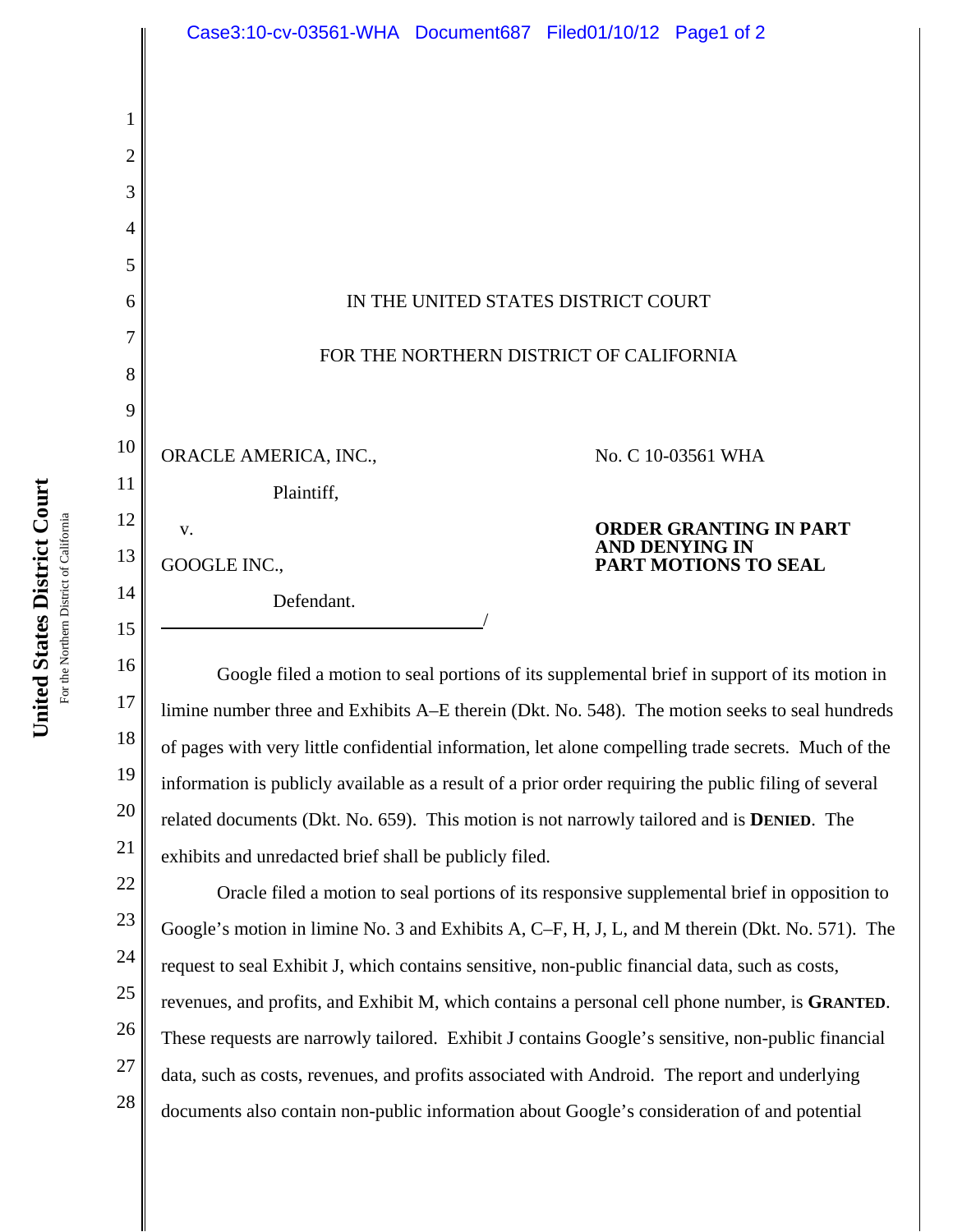|          | Case3:10-cv-03561-WHA Document687 Filed01/10/12 Page1 of 2                                                                                                                                        |
|----------|---------------------------------------------------------------------------------------------------------------------------------------------------------------------------------------------------|
|          |                                                                                                                                                                                                   |
| 1<br>2   |                                                                                                                                                                                                   |
| 3        |                                                                                                                                                                                                   |
| 4        |                                                                                                                                                                                                   |
| 5        |                                                                                                                                                                                                   |
| 6        | IN THE UNITED STATES DISTRICT COURT                                                                                                                                                               |
| 7        |                                                                                                                                                                                                   |
| 8        | FOR THE NORTHERN DISTRICT OF CALIFORNIA                                                                                                                                                           |
| 9        |                                                                                                                                                                                                   |
| 10       | ORACLE AMERICA, INC.,<br>No. C 10-03561 WHA                                                                                                                                                       |
| 11       | Plaintiff,                                                                                                                                                                                        |
| 12       | <b>ORDER GRANTING IN PART</b><br>V.<br><b>AND DENYING IN</b>                                                                                                                                      |
| 13       | GOOGLE INC.,<br><b>PART MOTIONS TO SEAL</b>                                                                                                                                                       |
| 14       | Defendant.                                                                                                                                                                                        |
| 15       |                                                                                                                                                                                                   |
| 16       | Google filed a motion to seal portions of its supplemental brief in support of its motion in                                                                                                      |
| 17       | limine number three and Exhibits A–E therein (Dkt. No. 548). The motion seeks to seal hundreds                                                                                                    |
| 18<br>19 | of pages with very little confidential information, let alone compelling trade secrets. Much of the                                                                                               |
| 20       | information is publicly available as a result of a prior order requiring the public filing of several                                                                                             |
| 21       | related documents (Dkt. No. 659). This motion is not narrowly tailored and is <b>DENIED</b> . The                                                                                                 |
| 22       | exhibits and unredacted brief shall be publicly filed.                                                                                                                                            |
| 23       | Oracle filed a motion to seal portions of its responsive supplemental brief in opposition to                                                                                                      |
| 24       | Google's motion in limine No. 3 and Exhibits A, C-F, H, J, L, and M therein (Dkt. No. 571). The<br>request to seal Exhibit J, which contains sensitive, non-public financial data, such as costs, |
| 25       | revenues, and profits, and Exhibit M, which contains a personal cell phone number, is GRANTED.                                                                                                    |
| 26       | These requests are narrowly tailored. Exhibit J contains Google's sensitive, non-public financial                                                                                                 |

documents also contain non-public information about Google's consideration of and potential

 $\tilde{z}$ 27 data, such as costs, revenues, and profits associated with Android. The report and underlying

28